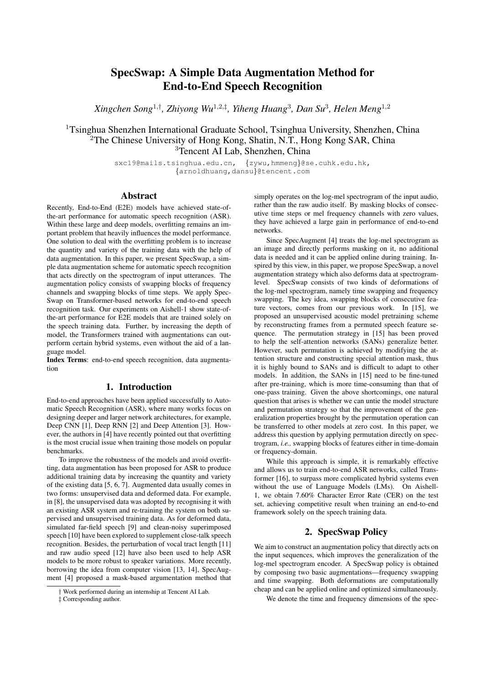# SpecSwap: A Simple Data Augmentation Method for End-to-End Speech Recognition

*Xingchen Song*<sup>1</sup>,† *, Zhiyong Wu*<sup>1</sup>,2,‡ *, Yiheng Huang*<sup>3</sup> *, Dan Su*<sup>3</sup> *, Helen Meng*<sup>1</sup>,<sup>2</sup>

<sup>1</sup>Tsinghua Shenzhen International Graduate School, Tsinghua University, Shenzhen, China <sup>2</sup>The Chinese University of Hong Kong, Shatin, N.T., Hong Kong SAR, China <sup>3</sup>Tencent AI Lab, Shenzhen, China

> sxc19@mails.tsinghua.edu.cn, {zywu,hmmeng}@se.cuhk.edu.hk, {arnoldhuang,dansu}@tencent.com

### Abstract

Recently, End-to-End (E2E) models have achieved state-ofthe-art performance for automatic speech recognition (ASR). Within these large and deep models, overfitting remains an important problem that heavily influences the model performance. One solution to deal with the overfitting problem is to increase the quantity and variety of the training data with the help of data augmentation. In this paper, we present SpecSwap, a simple data augmentation scheme for automatic speech recognition that acts directly on the spectrogram of input utterances. The augmentation policy consists of swapping blocks of frequency channels and swapping blocks of time steps. We apply Spec-Swap on Transformer-based networks for end-to-end speech recognition task. Our experiments on Aishell-1 show state-ofthe-art performance for E2E models that are trained solely on the speech training data. Further, by increasing the depth of model, the Transformers trained with augmentations can outperform certain hybrid systems, even without the aid of a language model.

Index Terms: end-to-end speech recognition, data augmentation

## 1. Introduction

End-to-end approaches have been applied successfully to Automatic Speech Recognition (ASR), where many works focus on designing deeper and larger network architectures, for example, Deep CNN [1], Deep RNN [2] and Deep Attention [3]. However, the authors in [4] have recently pointed out that overfitting is the most crucial issue when training those models on popular benchmarks.

To improve the robustness of the models and avoid overfitting, data augmentation has been proposed for ASR to produce additional training data by increasing the quantity and variety of the existing data [5, 6, 7]. Augmented data usually comes in two forms: unsupervised data and deformed data. For example, in [8], the unsupervised data was adopted by recognising it with an existing ASR system and re-training the system on both supervised and unsupervised training data. As for deformed data, simulated far-field speech [9] and clean-noisy superimposed speech [10] have been explored to supplement close-talk speech recognition. Besides, the perturbation of vocal tract length [11] and raw audio speed [12] have also been used to help ASR models to be more robust to speaker variations. More recently, borrowing the idea from computer vision [13, 14], SpecAugment [4] proposed a mask-based argumentation method that simply operates on the log-mel spectrogram of the input audio, rather than the raw audio itself. By masking blocks of consecutive time steps or mel frequency channels with zero values, they have achieved a large gain in performance of end-to-end networks.

Since SpecAugment [4] treats the log-mel spectrogram as an image and directly performs masking on it, no additional data is needed and it can be applied online during training. Inspired by this view, in this paper, we propose SpecSwap, a novel augmentation strategy which also deforms data at spectrogramlevel. SpecSwap consists of two kinds of deformations of the log-mel spectrogram, namely time swapping and frequency swapping. The key idea, swapping blocks of consecutive feature vectors, comes from our previous work. In [15], we proposed an unsupervised acoustic model pretraining scheme by reconstructing frames from a permuted speech feature sequence. The permutation strategy in [15] has been proved to help the self-attention networks (SANs) generalize better. However, such permutation is achieved by modifying the attention structure and constructing special attention mask, thus it is highly bound to SANs and is difficult to adapt to other models. In addition, the SANs in [15] need to be fine-tuned after pre-training, which is more time-consuming than that of one-pass training. Given the above shortcomings, one natural question that arises is whether we can untie the model structure and permutation strategy so that the improvement of the generalization properties brought by the permutation operation can be transferred to other models at zero cost. In this paper, we address this question by applying permutation directly on spectrogram, *i.e.,* swapping blocks of features either in time-domain or frequency-domain.

While this approach is simple, it is remarkably effective and allows us to train end-to-end ASR networks, called Transformer [16], to surpass more complicated hybrid systems even without the use of Language Models (LMs). On Aishell-1, we obtain 7.60% Character Error Rate (CER) on the test set, achieving competitive result when training an end-to-end framework solely on the speech training data.

# 2. SpecSwap Policy

We aim to construct an augmentation policy that directly acts on the input sequences, which improves the generalization of the log-mel spectrogram encoder. A SpecSwap policy is obtained by composing two basic augmentations—frequency swapping and time swapping. Both deformations are computationally cheap and can be applied online and optimized simultaneously.

We denote the time and frequency dimensions of the spec-

<sup>†</sup> Work performed during an internship at Tencent AI Lab.

<sup>‡</sup> Corresponding author.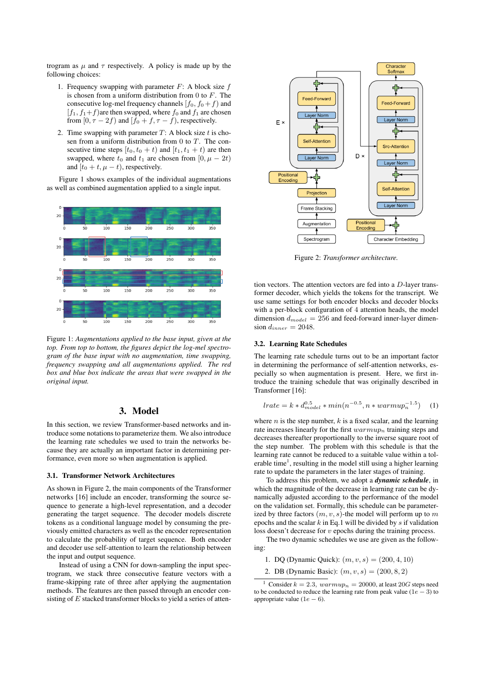trogram as  $\mu$  and  $\tau$  respectively. A policy is made up by the following choices:

- 1. Frequency swapping with parameter  $F$ : A block size  $f$ is chosen from a uniform distribution from 0 to  $F$ . The consecutive log-mel frequency channels  $[f_0, f_0 + f]$  and  $[f_1, f_1+f]$  are then swapped, where  $f_0$  and  $f_1$  are chosen from [0,  $\tau - 2f$ ) and [ $f_0 + f$ ,  $\tau - f$ ], respectively.
- 2. Time swapping with parameter  $T$ : A block size  $t$  is chosen from a uniform distribution from  $0$  to  $T$ . The consecutive time steps  $[t_0, t_0 + t)$  and  $[t_1, t_1 + t)$  are then swapped, where  $t_0$  and  $t_1$  are chosen from  $[0, \mu - 2t)$ and  $[t_0 + t, \mu - t)$ , respectively.

Figure 1 shows examples of the individual augmentations as well as combined augmentation applied to a single input.



Figure 1: *Augmentations applied to the base input, given at the top. From top to bottom, the figures depict the log-mel spectrogram of the base input with no augmentation, time swapping, frequency swapping and all augmentations applied. The red box and blue box indicate the areas that were swapped in the original input.*

### 3. Model

In this section, we review Transformer-based networks and introduce some notations to parameterize them. We also introduce the learning rate schedules we used to train the networks because they are actually an important factor in determining performance, even more so when augmentation is applied.

#### 3.1. Transformer Network Architectures

As shown in Figure 2, the main components of the Transformer networks [16] include an encoder, transforming the source sequence to generate a high-level representation, and a decoder generating the target sequence. The decoder models discrete tokens as a conditional language model by consuming the previously emitted characters as well as the encoder representation to calculate the probability of target sequence. Both encoder and decoder use self-attention to learn the relationship between the input and output sequence.

Instead of using a CNN for down-sampling the input spectrogram, we stack three consecutive feature vectors with a frame-skipping rate of three after applying the augmentation methods. The features are then passed through an encoder consisting of  $E$  stacked transformer blocks to yield a series of atten-



Figure 2: *Transformer architecture.*

tion vectors. The attention vectors are fed into a D-layer transformer decoder, which yields the tokens for the transcript. We use same settings for both encoder blocks and decoder blocks with a per-block configuration of 4 attention heads, the model dimension  $d_{model} = 256$  and feed-forward inner-layer dimension  $d_{inner} = 2048$ .

#### 3.2. Learning Rate Schedules

The learning rate schedule turns out to be an important factor in determining the performance of self-attention networks, especially so when augmentation is present. Here, we first introduce the training schedule that was originally described in Transformer [16]:

$$
lrate = k * d_{model}^{0.5} * min(n^{-0.5}, n * warmup_n^{-1.5})
$$
 (1)

where  $n$  is the step number,  $k$  is a fixed scalar, and the learning rate increases linearly for the first  $warmup<sub>n</sub>$  training steps and decreases thereafter proportionally to the inverse square root of the step number. The problem with this schedule is that the learning rate cannot be reduced to a suitable value within a tolerable time<sup>1</sup>, resulting in the model still using a higher learning rate to update the parameters in the later stages of training.

To address this problem, we adopt a *dynamic schedule*, in which the magnitude of the decrease in learning rate can be dynamically adjusted according to the performance of the model on the validation set. Formally, this schedule can be parameterized by three factors  $(m, v, s)$ -the model will perform up to m epochs and the scalar  $k$  in Eq.1 will be divided by  $s$  if validation loss doesn't decrease for  $v$  epochs during the training process.

The two dynamic schedules we use are given as the following:

- 1. DQ (Dynamic Quick):  $(m, v, s) = (200, 4, 10)$
- 2. DB (Dynamic Basic):  $(m, v, s) = (200, 8, 2)$

<sup>&</sup>lt;sup>1</sup> Consider  $k = 2.3$ ,  $warmup_n = 20000$ , at least 20*G* steps need to be conducted to reduce the learning rate from peak value ( $1e - 3$ ) to appropriate value (1 $e - 6$ ).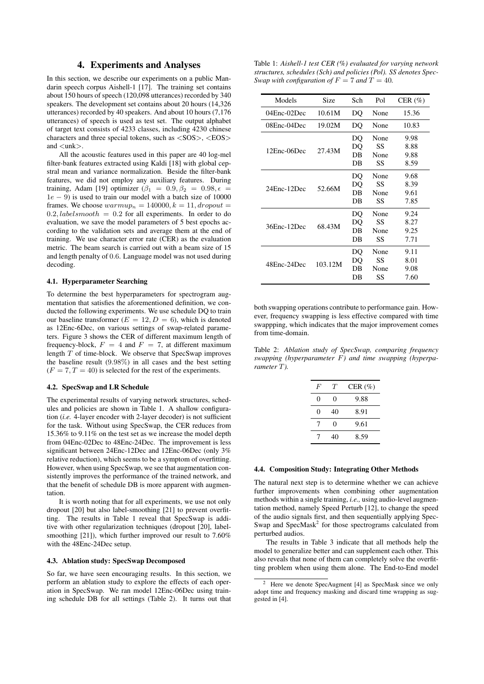### 4. Experiments and Analyses

In this section, we describe our experiments on a public Mandarin speech corpus Aishell-1 [17]. The training set contains about 150 hours of speech (120,098 utterances) recorded by 340 speakers. The development set contains about 20 hours (14,326 utterances) recorded by 40 speakers. And about 10 hours (7,176 utterances) of speech is used as test set. The output alphabet of target text consists of 4233 classes, including 4230 chinese characters and three special tokens, such as <SOS>, <EOS> and <unk>.

All the acoustic features used in this paper are 40 log-mel filter-bank features extracted using Kaldi [18] with global cepstral mean and variance normalization. Beside the filter-bank features, we did not employ any auxiliary features. During training, Adam [19] optimizer  $(\beta_1 = 0.9, \beta_2 = 0.98, \epsilon =$  $1e - 9$ ) is used to train our model with a batch size of 10000 frames. We choose  $warmup_n = 140000, k = 11, dropout =$  $0.2, labelsmooth = 0.2$  for all experiments. In order to do evaluation, we save the model parameters of 5 best epochs according to the validation sets and average them at the end of training. We use character error rate (CER) as the evaluation metric. The beam search is carried out with a beam size of 15 and length penalty of 0.6. Language model was not used during decoding.

#### 4.1. Hyperparameter Searching

To determine the best hyperparameters for spectrogram augmentation that satisfies the aforementioned definition, we conducted the following experiments. We use schedule DQ to train our baseline transformer ( $E = 12, D = 6$ ), which is denoted as 12Enc-6Dec, on various settings of swap-related parameters. Figure 3 shows the CER of different maximum length of frequency-block,  $F = 4$  and  $F = 7$ , at different maximum length  $\overline{T}$  of time-block. We observe that SpecSwap improves the baseline result (9.98%) in all cases and the best setting  $(F = 7, T = 40)$  is selected for the rest of the experiments.

#### 4.2. SpecSwap and LR Schedule

The experimental results of varying network structures, schedules and policies are shown in Table 1. A shallow configuration (*i.e.* 4-layer encoder with 2-layer decoder) is not sufficient for the task. Without using SpecSwap, the CER reduces from 15.36% to 9.11% on the test set as we increase the model depth from 04Enc-02Dec to 48Enc-24Dec. The improvement is less significant between 24Enc-12Dec and 12Enc-06Dec (only 3% relative reduction), which seems to be a symptom of overfitting. However, when using SpecSwap, we see that augmentation consistently improves the performance of the trained network, and that the benefit of schedule DB is more apparent with augmentation.

It is worth noting that for all experiments, we use not only dropout [20] but also label-smoothing [21] to prevent overfitting. The results in Table 1 reveal that SpecSwap is additive with other regularization techniques (dropout [20], labelsmoothing [21]), which further improved our result to 7.60% with the 48Enc-24Dec setup.

#### 4.3. Ablation study: SpecSwap Decomposed

So far, we have seen encouraging results. In this section, we perform an ablation study to explore the effects of each operation in SpecSwap. We ran model 12Enc-06Dec using training schedule DB for all settings (Table 2). It turns out that

Table 1: *Aishell-1 test CER (%) evaluated for varying network structures, schedules (Sch) and policies (Pol). SS denotes Spec-Swap with configuration of*  $F = 7$  *and*  $T = 40$ *.* 

| Models      | Size    | Sch                  | Pol                      | CER $(\% )$                  |
|-------------|---------|----------------------|--------------------------|------------------------------|
| 04Enc-02Dec | 10.61M  | DQ                   | None                     | 15.36                        |
| 08Enc-04Dec | 19.02M  | DO                   | None                     | 10.83                        |
| 12Enc-06Dec | 27.43M  | DQ<br>DO<br>DB<br>DB | None<br>SS<br>None<br>SS | 9.98<br>8.88<br>9.88<br>8.59 |
| 24Enc-12Dec | 52.66M  | DO<br>DO<br>DB<br>DB | None<br>SS<br>None<br>SS | 9.68<br>8.39<br>9.61<br>7.85 |
| 36Enc-12Dec | 68.43M  | DO<br>DO<br>DB<br>DB | None<br>SS<br>None<br>SS | 9.24<br>8.27<br>9.25<br>7.71 |
| 48Enc-24Dec | 103.12M | DQ<br>DO<br>DB<br>DB | None<br>SS<br>None<br>SS | 9.11<br>8.01<br>9.08<br>7.60 |

both swapping operations contribute to performance gain. However, frequency swapping is less effective compared with time swappping, which indicates that the major improvement comes from time-domain.

Table 2: *Ablation study of SpecSwap, comparing frequency swapping (hyperparameter* F*) and time swapping (hyperparameter* T*).*

| F | T  | CER $(\%)$ |
|---|----|------------|
| 0 | 0  | 9.88       |
| 0 | 40 | 8.91       |
| 7 | 0  | 9.61       |
| 7 | 40 | 8.59       |
|   |    |            |

#### 4.4. Composition Study: Integrating Other Methods

The natural next step is to determine whether we can achieve further improvements when combining other augmentation methods within a single training, *i.e.,* using audio-level augmentation method, namely Speed Perturb [12], to change the speed of the audio signals first, and then sequentially applying Spec-Swap and SpecMask<sup>2</sup> for those spectrograms calculated from perturbed audios.

The results in Table 3 indicate that all methods help the model to generalize better and can supplement each other. This also reveals that none of them can completely solve the overfitting problem when using them alone. The End-to-End model

Here we denote SpecAugment [4] as SpecMask since we only adopt time and frequency masking and discard time wrapping as suggested in [4].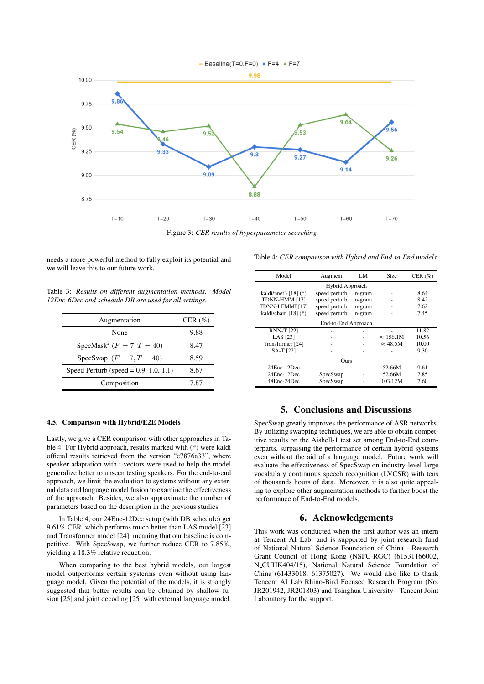

Figure 3: *CER results of hyperparameter searching.*

needs a more powerful method to fully exploit its potential and we will leave this to our future work.

Table 3: *Results on different augmentation methods. Model 12Enc-6Dec and schedule DB are used for all settings.*

| Augmentation                              | CER $(\% )$ |
|-------------------------------------------|-------------|
| None                                      | 9.88        |
| SpecMask <sup>2</sup> ( $F = 7, T = 40$ ) | 8.47        |
| SpecSwap $(F = 7, T = 40)$                | 8.59        |
| Speed Perturb (speed = $0.9$ , 1.0, 1.1)  | 8.67        |
| Composition                               | 7.87        |

#### 4.5. Comparison with Hybrid/E2E Models

Lastly, we give a CER comparison with other approaches in Table 4. For Hybrid approach, results marked with (\*) were kaldi official results retrieved from the version "c7876a33", where speaker adaptation with i-vectors were used to help the model generalize better to unseen testing speakers. For the end-to-end approach, we limit the evaluation to systems without any external data and language model fusion to examine the effectiveness of the approach. Besides, we also approximate the number of parameters based on the description in the previous studies.

In Table 4, our 24Enc-12Dec setup (with DB schedule) get 9.61% CER, which performs much better than LAS model [23] and Transformer model [24], meaning that our baseline is competitive. With SpecSwap, we further reduce CER to 7.85%, yielding a 18.3% relative reduction.

When comparing to the best hybrid models, our largest model outperforms certain systerms even without using language model. Given the potential of the models, it is strongly suggested that better results can be obtained by shallow fusion [25] and joint decoding [25] with external language model.

Table 4: *CER comparison with Hybrid and End-to-End models.*

| Model                     | Augment       | LM     | Size             | CER $(\% )$ |  |  |  |  |
|---------------------------|---------------|--------|------------------|-------------|--|--|--|--|
| Hybrid Approach           |               |        |                  |             |  |  |  |  |
| kaldi/nnet $3$ [18] $(*)$ | speed perturb | n-gram |                  | 8.64        |  |  |  |  |
| TDNN-HMM [17]             | speed perturb | n-gram |                  | 8.42        |  |  |  |  |
| TDNN-LFMMI [17]           | speed perturb | n-gram |                  | 7.62        |  |  |  |  |
| kaldi/chain $[18]$ (*)    | speed perturb | n-gram |                  | 7.45        |  |  |  |  |
| End-to-End Approach       |               |        |                  |             |  |  |  |  |
| <b>RNN-T [22]</b>         |               |        |                  | 11.82       |  |  |  |  |
| LAS [23]                  |               |        | $\approx 156.1M$ | 10.56       |  |  |  |  |
| Transformer [24]          |               |        | $\approx$ 48.5M  | 10.00       |  |  |  |  |
| $SA-T$ [22]               |               |        |                  | 9.30        |  |  |  |  |
| Ours                      |               |        |                  |             |  |  |  |  |
| 24Enc-12Dec               |               |        | 52.66M           | 9.61        |  |  |  |  |
| 24Enc-12Dec               | SpecSwap      |        | 52.66M           | 7.85        |  |  |  |  |
| 48Enc-24Dec               | SpecSwap      |        | 103.12M          | 7.60        |  |  |  |  |

# 5. Conclusions and Discussions

SpecSwap greatly improves the performance of ASR networks. By utilizing swapping techniques, we are able to obtain competitive results on the Aishell-1 test set among End-to-End counterparts, surpassing the performance of certain hybrid systems even without the aid of a language model. Future work will evaluate the effectiveness of SpecSwap on industry-level large vocabulary continuous speech recognition (LVCSR) with tens of thousands hours of data. Moreover, it is also quite appealing to explore other augmentation methods to further boost the performance of End-to-End models.

# 6. Acknowledgements

This work was conducted when the first author was an intern at Tencent AI Lab, and is supported by joint research fund of National Natural Science Foundation of China - Research Grant Council of Hong Kong (NSFC-RGC) (61531166002, N CUHK404/15), National Natural Science Foundation of China (61433018, 61375027). We would also like to thank Tencent AI Lab Rhino-Bird Focused Research Program (No. JR201942, JR201803) and Tsinghua University - Tencent Joint Laboratory for the support.